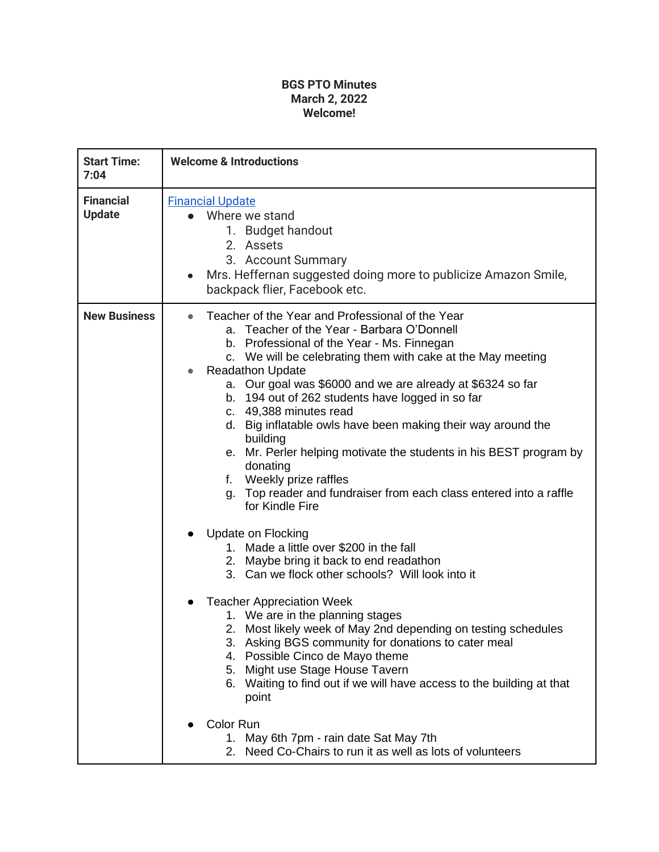## **BGS PTO Minutes March 2, 2022 Welcome!**

| <b>Start Time:</b><br>7:04        | <b>Welcome &amp; Introductions</b>                                                                                                                                                                                                                                                                                                                                                                                                                                                                                                                                                                                                                                                                                                                                                                                                                                                                                                                                                                                                                                                                                                                                                                                                                                                                                                        |
|-----------------------------------|-------------------------------------------------------------------------------------------------------------------------------------------------------------------------------------------------------------------------------------------------------------------------------------------------------------------------------------------------------------------------------------------------------------------------------------------------------------------------------------------------------------------------------------------------------------------------------------------------------------------------------------------------------------------------------------------------------------------------------------------------------------------------------------------------------------------------------------------------------------------------------------------------------------------------------------------------------------------------------------------------------------------------------------------------------------------------------------------------------------------------------------------------------------------------------------------------------------------------------------------------------------------------------------------------------------------------------------------|
| <b>Financial</b><br><b>Update</b> | <b>Financial Update</b><br>Where we stand<br>1. Budget handout<br>2. Assets<br>3. Account Summary<br>Mrs. Heffernan suggested doing more to publicize Amazon Smile,<br>$\bullet$<br>backpack flier, Facebook etc.                                                                                                                                                                                                                                                                                                                                                                                                                                                                                                                                                                                                                                                                                                                                                                                                                                                                                                                                                                                                                                                                                                                         |
| <b>New Business</b>               | Teacher of the Year and Professional of the Year<br>a. Teacher of the Year - Barbara O'Donnell<br>b. Professional of the Year - Ms. Finnegan<br>c. We will be celebrating them with cake at the May meeting<br><b>Readathon Update</b><br>$\bullet$<br>a. Our goal was \$6000 and we are already at \$6324 so far<br>b. 194 out of 262 students have logged in so far<br>c. 49,388 minutes read<br>d. Big inflatable owls have been making their way around the<br>building<br>e. Mr. Perler helping motivate the students in his BEST program by<br>donating<br>Weekly prize raffles<br>f.<br>Top reader and fundraiser from each class entered into a raffle<br>q.<br>for Kindle Fire<br>Update on Flocking<br>1. Made a little over \$200 in the fall<br>2. Maybe bring it back to end readathon<br>3. Can we flock other schools? Will look into it<br><b>Teacher Appreciation Week</b><br>1. We are in the planning stages<br>2. Most likely week of May 2nd depending on testing schedules<br>3. Asking BGS community for donations to cater meal<br>Possible Cinco de Mayo theme<br>4.<br>Might use Stage House Tavern<br>5.<br>6. Waiting to find out if we will have access to the building at that<br>point<br>Color Run<br>1. May 6th 7pm - rain date Sat May 7th<br>2. Need Co-Chairs to run it as well as lots of volunteers |